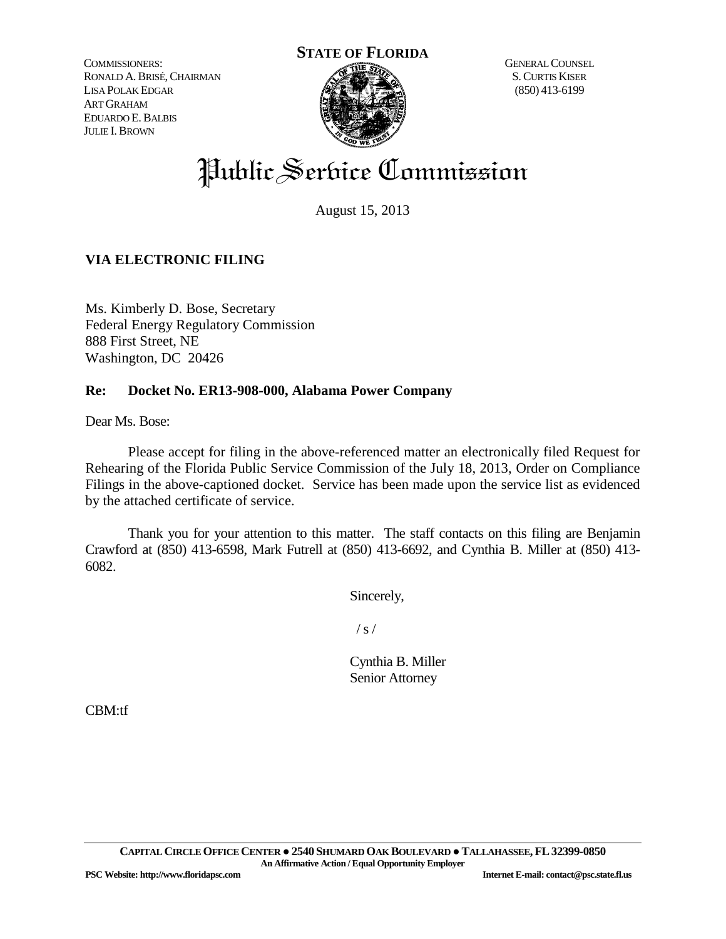COMMISSIONERS: RONALD A.BRISÉ,CHAIRMAN LISA POLAK EDGAR ART GRAHAM EDUARDO E.BALBIS JULIE I.BROWN



GENERAL COUNSEL S.CURTIS KISER (850) 413-6199

# Public Service Commission

August 15, 2013

## **VIA ELECTRONIC FILING**

Ms. Kimberly D. Bose, Secretary Federal Energy Regulatory Commission 888 First Street, NE Washington, DC 20426

## **Re: Docket No. ER13-908-000, Alabama Power Company**

Dear Ms. Bose:

Please accept for filing in the above-referenced matter an electronically filed Request for Rehearing of the Florida Public Service Commission of the July 18, 2013, Order on Compliance Filings in the above-captioned docket. Service has been made upon the service list as evidenced by the attached certificate of service.

Thank you for your attention to this matter. The staff contacts on this filing are Benjamin Crawford at (850) 413-6598, Mark Futrell at (850) 413-6692, and Cynthia B. Miller at (850) 413- 6082.

Sincerely,

 $/ s /$ 

Cynthia B. Miller Senior Attorney

CBM:tf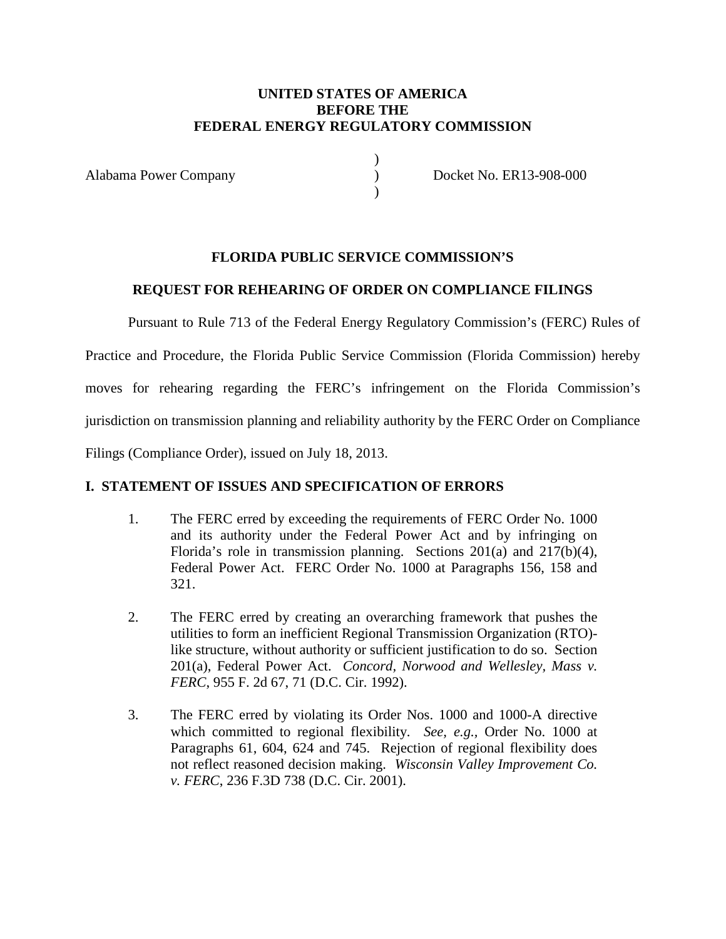## **UNITED STATES OF AMERICA BEFORE THE FEDERAL ENERGY REGULATORY COMMISSION**

) )  $\lambda$ 

Alabama Power Company

Docket No. ER13-908-000

## **FLORIDA PUBLIC SERVICE COMMISSION'S**

## **REQUEST FOR REHEARING OF ORDER ON COMPLIANCE FILINGS**

Pursuant to Rule 713 of the Federal Energy Regulatory Commission's (FERC) Rules of

Practice and Procedure, the Florida Public Service Commission (Florida Commission) hereby

moves for rehearing regarding the FERC's infringement on the Florida Commission's

jurisdiction on transmission planning and reliability authority by the FERC Order on Compliance

Filings (Compliance Order), issued on July 18, 2013.

## **I. STATEMENT OF ISSUES AND SPECIFICATION OF ERRORS**

- 1. The FERC erred by exceeding the requirements of FERC Order No. 1000 and its authority under the Federal Power Act and by infringing on Florida's role in transmission planning. Sections 201(a) and 217(b)(4), Federal Power Act. FERC Order No. 1000 at Paragraphs 156, 158 and 321.
- 2. The FERC erred by creating an overarching framework that pushes the utilities to form an inefficient Regional Transmission Organization (RTO) like structure, without authority or sufficient justification to do so. Section 201(a), Federal Power Act. *Concord, Norwood and Wellesley, Mass v. FERC*, 955 F. 2d 67, 71 (D.C. Cir. 1992).
- 3. The FERC erred by violating its Order Nos. 1000 and 1000-A directive which committed to regional flexibility. *See, e.g.,* Order No. 1000 at Paragraphs 61, 604, 624 and 745. Rejection of regional flexibility does not reflect reasoned decision making. *Wisconsin Valley Improvement Co. v. FERC*, 236 F.3D 738 (D.C. Cir. 2001).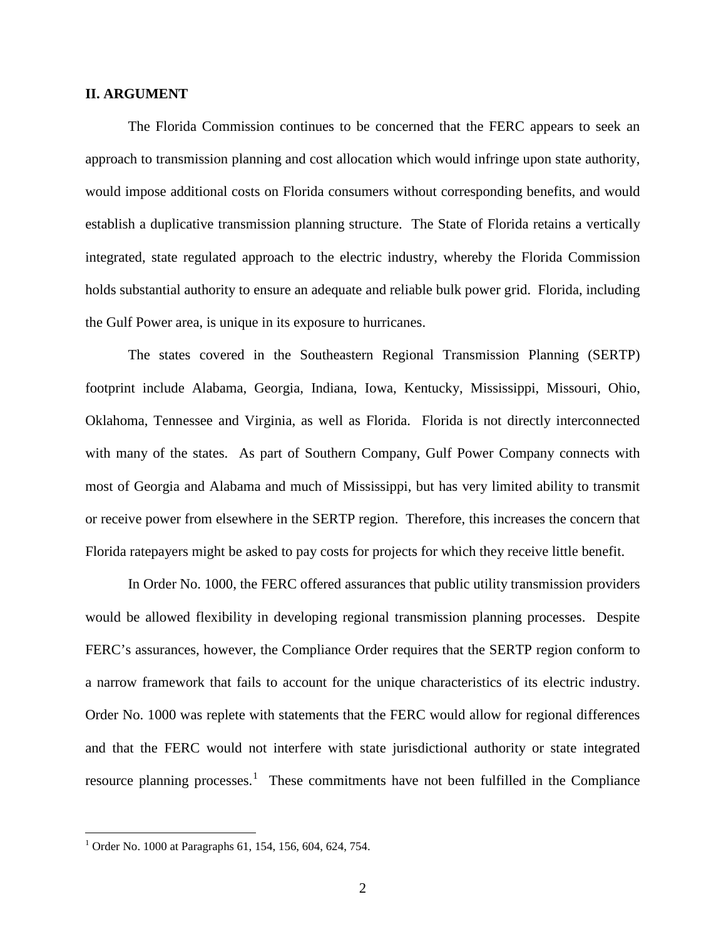#### **II. ARGUMENT**

The Florida Commission continues to be concerned that the FERC appears to seek an approach to transmission planning and cost allocation which would infringe upon state authority, would impose additional costs on Florida consumers without corresponding benefits, and would establish a duplicative transmission planning structure. The State of Florida retains a vertically integrated, state regulated approach to the electric industry, whereby the Florida Commission holds substantial authority to ensure an adequate and reliable bulk power grid. Florida, including the Gulf Power area, is unique in its exposure to hurricanes.

The states covered in the Southeastern Regional Transmission Planning (SERTP) footprint include Alabama, Georgia, Indiana, Iowa, Kentucky, Mississippi, Missouri, Ohio, Oklahoma, Tennessee and Virginia, as well as Florida. Florida is not directly interconnected with many of the states. As part of Southern Company, Gulf Power Company connects with most of Georgia and Alabama and much of Mississippi, but has very limited ability to transmit or receive power from elsewhere in the SERTP region. Therefore, this increases the concern that Florida ratepayers might be asked to pay costs for projects for which they receive little benefit.

In Order No. 1000, the FERC offered assurances that public utility transmission providers would be allowed flexibility in developing regional transmission planning processes. Despite FERC's assurances, however, the Compliance Order requires that the SERTP region conform to a narrow framework that fails to account for the unique characteristics of its electric industry. Order No. 1000 was replete with statements that the FERC would allow for regional differences and that the FERC would not interfere with state jurisdictional authority or state integrated resource planning processes.<sup>[1](#page-2-0)</sup> These commitments have not been fulfilled in the Compliance

<span id="page-2-0"></span><sup>&</sup>lt;sup>1</sup> Order No. 1000 at Paragraphs 61, 154, 156, 604, 624, 754.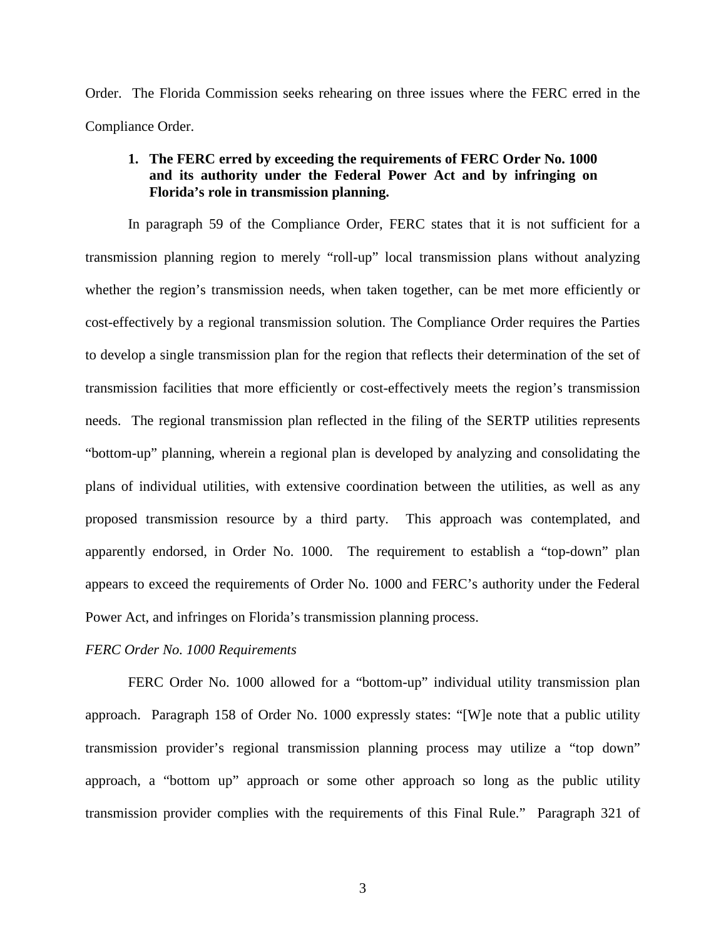Order. The Florida Commission seeks rehearing on three issues where the FERC erred in the Compliance Order.

## **1. The FERC erred by exceeding the requirements of FERC Order No. 1000 and its authority under the Federal Power Act and by infringing on Florida's role in transmission planning.**

In paragraph 59 of the Compliance Order, FERC states that it is not sufficient for a transmission planning region to merely "roll-up" local transmission plans without analyzing whether the region's transmission needs, when taken together, can be met more efficiently or cost-effectively by a regional transmission solution. The Compliance Order requires the Parties to develop a single transmission plan for the region that reflects their determination of the set of transmission facilities that more efficiently or cost-effectively meets the region's transmission needs. The regional transmission plan reflected in the filing of the SERTP utilities represents "bottom-up" planning, wherein a regional plan is developed by analyzing and consolidating the plans of individual utilities, with extensive coordination between the utilities, as well as any proposed transmission resource by a third party. This approach was contemplated, and apparently endorsed, in Order No. 1000. The requirement to establish a "top-down" plan appears to exceed the requirements of Order No. 1000 and FERC's authority under the Federal Power Act, and infringes on Florida's transmission planning process.

#### *FERC Order No. 1000 Requirements*

FERC Order No. 1000 allowed for a "bottom-up" individual utility transmission plan approach. Paragraph 158 of Order No. 1000 expressly states: "[W]e note that a public utility transmission provider's regional transmission planning process may utilize a "top down" approach, a "bottom up" approach or some other approach so long as the public utility transmission provider complies with the requirements of this Final Rule." Paragraph 321 of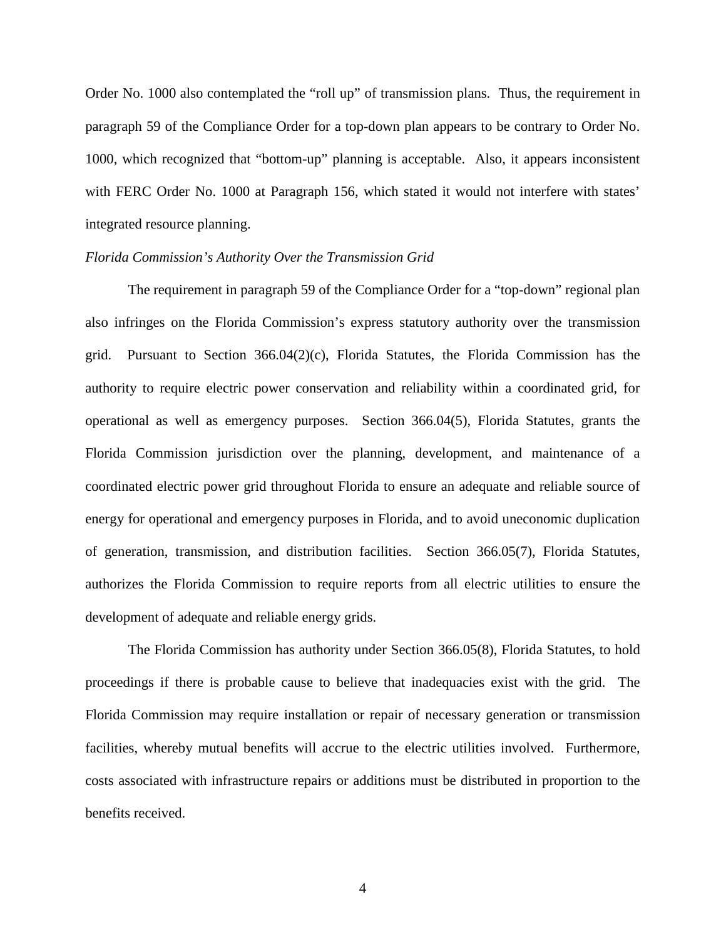Order No. 1000 also contemplated the "roll up" of transmission plans. Thus, the requirement in paragraph 59 of the Compliance Order for a top-down plan appears to be contrary to Order No. 1000, which recognized that "bottom-up" planning is acceptable. Also, it appears inconsistent with FERC Order No. 1000 at Paragraph 156, which stated it would not interfere with states' integrated resource planning.

#### *Florida Commission's Authority Over the Transmission Grid*

The requirement in paragraph 59 of the Compliance Order for a "top-down" regional plan also infringes on the Florida Commission's express statutory authority over the transmission grid. Pursuant to Section  $366.04(2)(c)$ , Florida Statutes, the Florida Commission has the authority to require electric power conservation and reliability within a coordinated grid, for operational as well as emergency purposes. Section 366.04(5), Florida Statutes, grants the Florida Commission jurisdiction over the planning, development, and maintenance of a coordinated electric power grid throughout Florida to ensure an adequate and reliable source of energy for operational and emergency purposes in Florida, and to avoid uneconomic duplication of generation, transmission, and distribution facilities. Section 366.05(7), Florida Statutes, authorizes the Florida Commission to require reports from all electric utilities to ensure the development of adequate and reliable energy grids.

The Florida Commission has authority under Section 366.05(8), Florida Statutes, to hold proceedings if there is probable cause to believe that inadequacies exist with the grid. The Florida Commission may require installation or repair of necessary generation or transmission facilities, whereby mutual benefits will accrue to the electric utilities involved. Furthermore, costs associated with infrastructure repairs or additions must be distributed in proportion to the benefits received.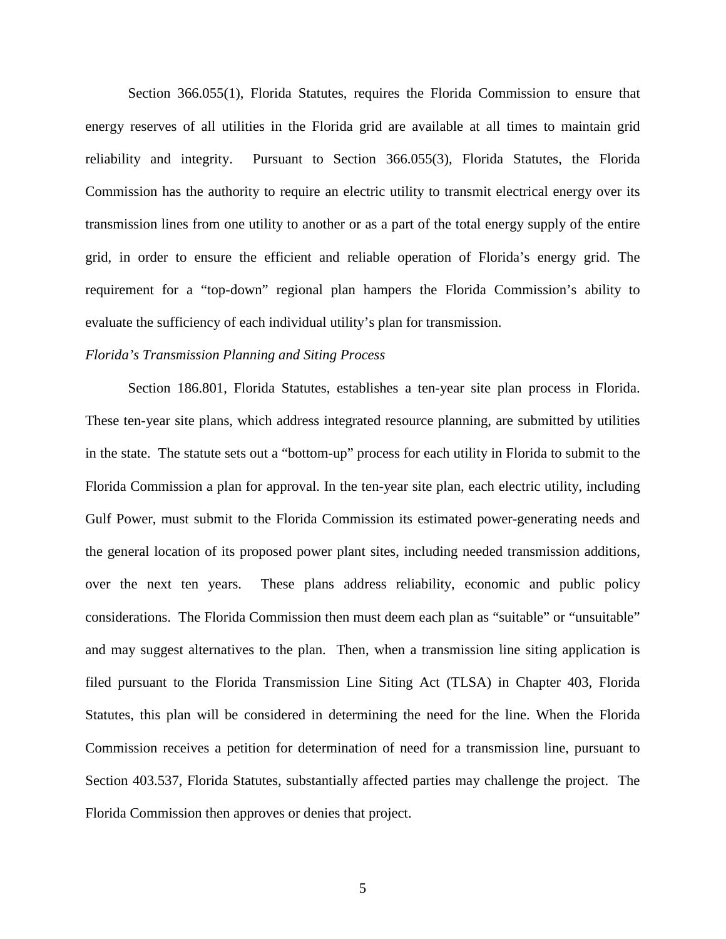Section 366.055(1), Florida Statutes, requires the Florida Commission to ensure that energy reserves of all utilities in the Florida grid are available at all times to maintain grid reliability and integrity. Pursuant to Section 366.055(3), Florida Statutes, the Florida Commission has the authority to require an electric utility to transmit electrical energy over its transmission lines from one utility to another or as a part of the total energy supply of the entire grid, in order to ensure the efficient and reliable operation of Florida's energy grid. The requirement for a "top-down" regional plan hampers the Florida Commission's ability to evaluate the sufficiency of each individual utility's plan for transmission.

#### *Florida's Transmission Planning and Siting Process*

Section 186.801, Florida Statutes, establishes a ten-year site plan process in Florida. These ten-year site plans, which address integrated resource planning, are submitted by utilities in the state. The statute sets out a "bottom-up" process for each utility in Florida to submit to the Florida Commission a plan for approval. In the ten-year site plan, each electric utility, including Gulf Power, must submit to the Florida Commission its estimated power-generating needs and the general location of its proposed power plant sites, including needed transmission additions, over the next ten years. These plans address reliability, economic and public policy considerations. The Florida Commission then must deem each plan as "suitable" or "unsuitable" and may suggest alternatives to the plan. Then, when a transmission line siting application is filed pursuant to the Florida Transmission Line Siting Act (TLSA) in Chapter 403, Florida Statutes, this plan will be considered in determining the need for the line. When the Florida Commission receives a petition for determination of need for a transmission line, pursuant to Section 403.537, Florida Statutes, substantially affected parties may challenge the project. The Florida Commission then approves or denies that project.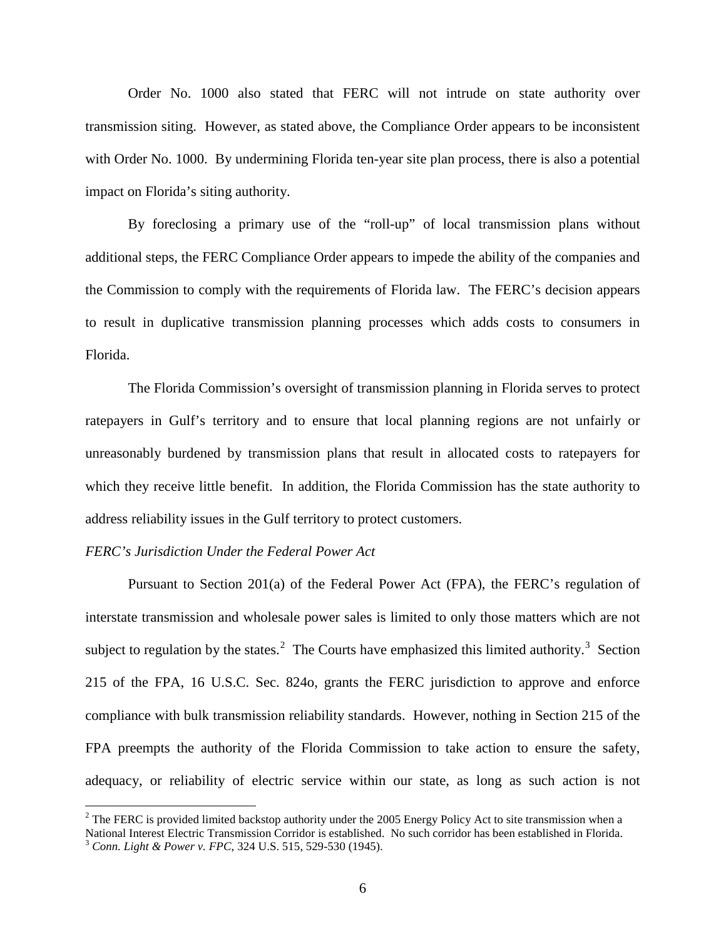Order No. 1000 also stated that FERC will not intrude on state authority over transmission siting. However, as stated above, the Compliance Order appears to be inconsistent with Order No. 1000. By undermining Florida ten-year site plan process, there is also a potential impact on Florida's siting authority.

By foreclosing a primary use of the "roll-up" of local transmission plans without additional steps, the FERC Compliance Order appears to impede the ability of the companies and the Commission to comply with the requirements of Florida law. The FERC's decision appears to result in duplicative transmission planning processes which adds costs to consumers in Florida.

The Florida Commission's oversight of transmission planning in Florida serves to protect ratepayers in Gulf's territory and to ensure that local planning regions are not unfairly or unreasonably burdened by transmission plans that result in allocated costs to ratepayers for which they receive little benefit. In addition, the Florida Commission has the state authority to address reliability issues in the Gulf territory to protect customers.

#### *FERC's Jurisdiction Under the Federal Power Act*

Pursuant to Section 201(a) of the Federal Power Act (FPA), the FERC's regulation of interstate transmission and wholesale power sales is limited to only those matters which are not subject to regulation by the states.<sup>[2](#page-6-0)</sup> The Courts have emphasized this limited authority.<sup>[3](#page-6-1)</sup> Section 215 of the FPA, 16 U.S.C. Sec. 824o, grants the FERC jurisdiction to approve and enforce compliance with bulk transmission reliability standards. However, nothing in Section 215 of the FPA preempts the authority of the Florida Commission to take action to ensure the safety, adequacy, or reliability of electric service within our state, as long as such action is not

<span id="page-6-1"></span><span id="page-6-0"></span> $2$  The FERC is provided limited backstop authority under the 2005 Energy Policy Act to site transmission when a National Interest Electric Transmission Corridor is established. No such corridor has been established in Florida. <sup>3</sup> *Conn. Light & Power v. FPC*, 324 U.S. 515, 529-530 (1945).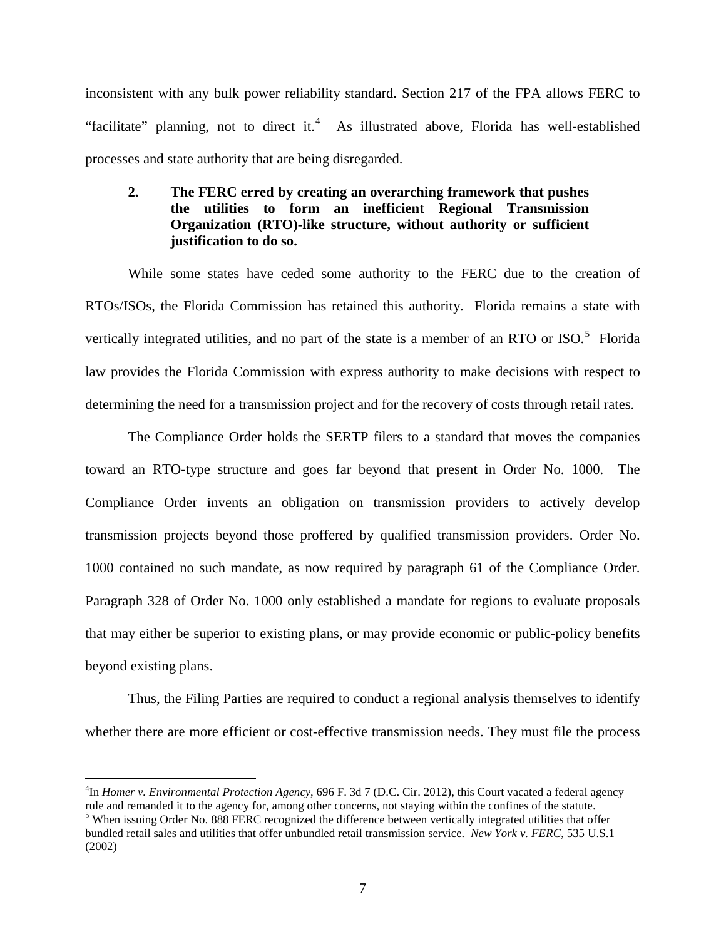inconsistent with any bulk power reliability standard. Section 217 of the FPA allows FERC to "facilitate" planning, not to direct it.<sup>[4](#page-7-0)</sup> As illustrated above, Florida has well-established processes and state authority that are being disregarded.

## **2. The FERC erred by creating an overarching framework that pushes the utilities to form an inefficient Regional Transmission Organization (RTO)-like structure, without authority or sufficient justification to do so.**

While some states have ceded some authority to the FERC due to the creation of RTOs/ISOs, the Florida Commission has retained this authority. Florida remains a state with vertically integrated utilities, and no part of the state is a member of an RTO or ISO. $<sup>5</sup>$  $<sup>5</sup>$  $<sup>5</sup>$  Florida</sup> law provides the Florida Commission with express authority to make decisions with respect to determining the need for a transmission project and for the recovery of costs through retail rates.

The Compliance Order holds the SERTP filers to a standard that moves the companies toward an RTO-type structure and goes far beyond that present in Order No. 1000. The Compliance Order invents an obligation on transmission providers to actively develop transmission projects beyond those proffered by qualified transmission providers. Order No. 1000 contained no such mandate, as now required by paragraph 61 of the Compliance Order. Paragraph 328 of Order No. 1000 only established a mandate for regions to evaluate proposals that may either be superior to existing plans, or may provide economic or public-policy benefits beyond existing plans.

Thus, the Filing Parties are required to conduct a regional analysis themselves to identify whether there are more efficient or cost-effective transmission needs. They must file the process

<span id="page-7-0"></span> $\frac{1}{4}$ <sup>4</sup>In *Homer v. Environmental Protection Agency*, 696 F. 3d 7 (D.C. Cir. 2012), this Court vacated a federal agency rule and remanded it to the agency for, among other concerns, not staying within the confines of the statute. <sup>5</sup> When issuing Order No. 888 FERC recognized the difference between vertically integrated utilities that offer

<span id="page-7-1"></span>bundled retail sales and utilities that offer unbundled retail transmission service. *New York v. FERC*, 535 U.S.1 (2002)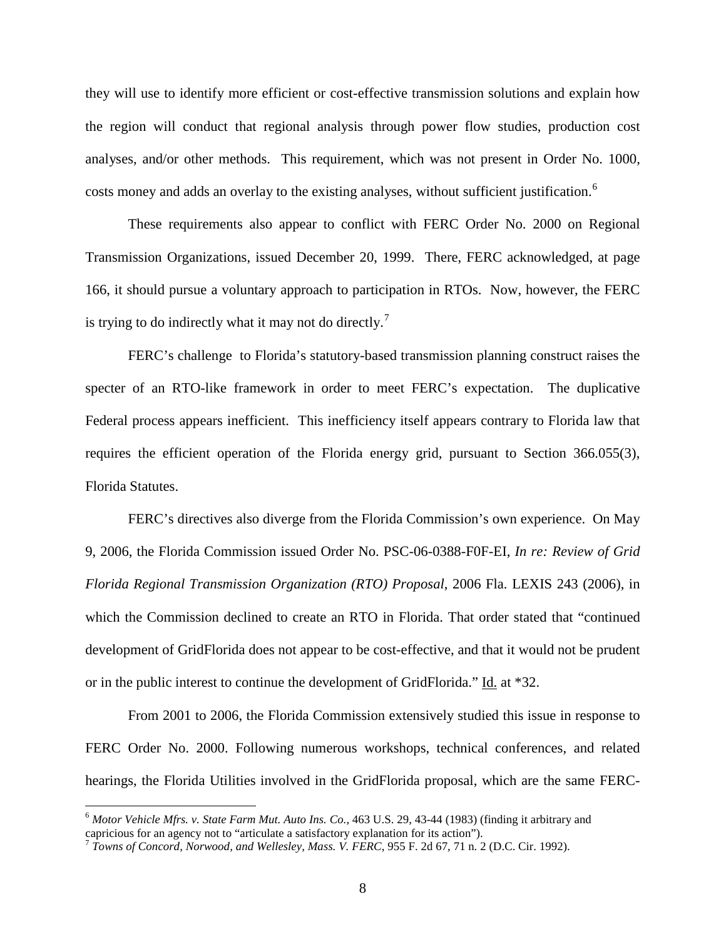they will use to identify more efficient or cost-effective transmission solutions and explain how the region will conduct that regional analysis through power flow studies, production cost analyses, and/or other methods. This requirement, which was not present in Order No. 1000, costs money and adds an overlay to the existing analyses, without sufficient justification.<sup>[6](#page-8-0)</sup>

These requirements also appear to conflict with FERC Order No. 2000 on Regional Transmission Organizations, issued December 20, 1999. There, FERC acknowledged, at page 166, it should pursue a voluntary approach to participation in RTOs. Now, however, the FERC is trying to do indirectly what it may not do directly.<sup>[7](#page-8-1)</sup>

FERC's challenge to Florida's statutory-based transmission planning construct raises the specter of an RTO-like framework in order to meet FERC's expectation. The duplicative Federal process appears inefficient. This inefficiency itself appears contrary to Florida law that requires the efficient operation of the Florida energy grid, pursuant to Section 366.055(3), Florida Statutes.

FERC's directives also diverge from the Florida Commission's own experience. On May 9, 2006, the Florida Commission issued Order No. PSC-06-0388-F0F-EI, *In re: Review of Grid Florida Regional Transmission Organization (RTO) Proposal*, 2006 Fla. LEXIS 243 (2006), in which the Commission declined to create an RTO in Florida. That order stated that "continued development of GridFlorida does not appear to be cost-effective, and that it would not be prudent or in the public interest to continue the development of GridFlorida." Id. at \*32.

From 2001 to 2006, the Florida Commission extensively studied this issue in response to FERC Order No. 2000. Following numerous workshops, technical conferences, and related hearings, the Florida Utilities involved in the GridFlorida proposal, which are the same FERC-

<span id="page-8-0"></span> <sup>6</sup> *Motor Vehicle Mfrs. v. State Farm Mut. Auto Ins. Co.*, 463 U.S. 29, 43-44 (1983) (finding it arbitrary and capricious for an agency not to "articulate a satisfactory explanation for its action").

<span id="page-8-1"></span><sup>7</sup> *Towns of Concord, Norwood, and Wellesley, Mass. V. FERC*, 955 F. 2d 67, 71 n. 2 (D.C. Cir. 1992).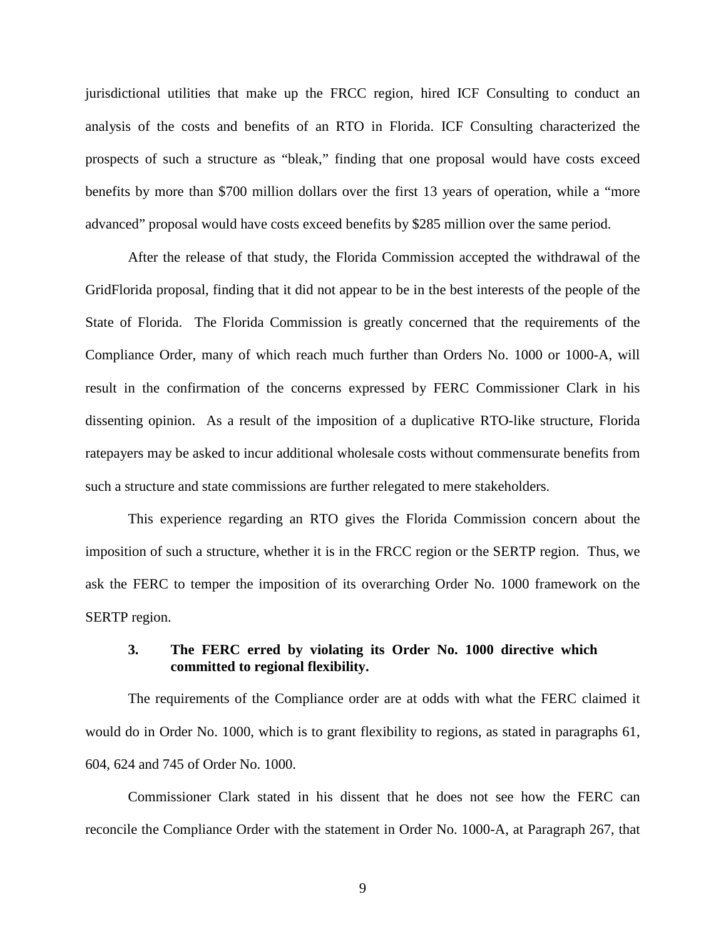jurisdictional utilities that make up the FRCC region, hired ICF Consulting to conduct an analysis of the costs and benefits of an RTO in Florida. ICF Consulting characterized the prospects of such a structure as "bleak," finding that one proposal would have costs exceed benefits by more than \$700 million dollars over the first 13 years of operation, while a "more advanced" proposal would have costs exceed benefits by \$285 million over the same period.

After the release of that study, the Florida Commission accepted the withdrawal of the GridFlorida proposal, finding that it did not appear to be in the best interests of the people of the State of Florida. The Florida Commission is greatly concerned that the requirements of the Compliance Order, many of which reach much further than Orders No. 1000 or 1000-A, will result in the confirmation of the concerns expressed by FERC Commissioner Clark in his dissenting opinion. As a result of the imposition of a duplicative RTO-like structure, Florida ratepayers may be asked to incur additional wholesale costs without commensurate benefits from such a structure and state commissions are further relegated to mere stakeholders.

This experience regarding an RTO gives the Florida Commission concern about the imposition of such a structure, whether it is in the FRCC region or the SERTP region. Thus, we ask the FERC to temper the imposition of its overarching Order No. 1000 framework on the SERTP region.

## **3. The FERC erred by violating its Order No. 1000 directive which committed to regional flexibility.**

The requirements of the Compliance order are at odds with what the FERC claimed it would do in Order No. 1000, which is to grant flexibility to regions, as stated in paragraphs 61, 604, 624 and 745 of Order No. 1000.

Commissioner Clark stated in his dissent that he does not see how the FERC can reconcile the Compliance Order with the statement in Order No. 1000-A, at Paragraph 267, that

9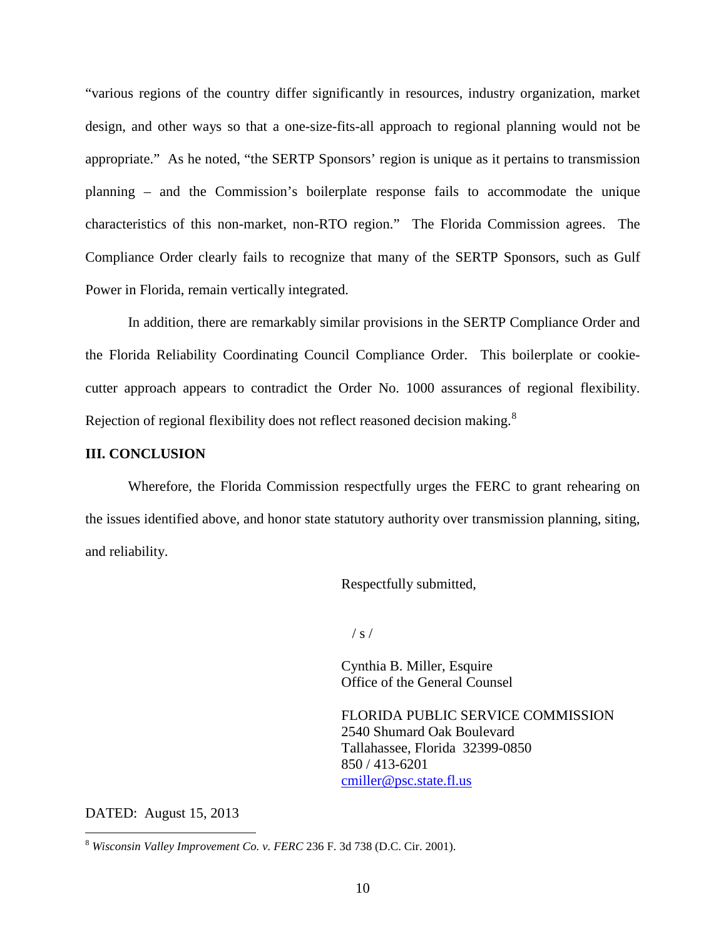"various regions of the country differ significantly in resources, industry organization, market design, and other ways so that a one-size-fits-all approach to regional planning would not be appropriate." As he noted, "the SERTP Sponsors' region is unique as it pertains to transmission planning – and the Commission's boilerplate response fails to accommodate the unique characteristics of this non-market, non-RTO region." The Florida Commission agrees. The Compliance Order clearly fails to recognize that many of the SERTP Sponsors, such as Gulf Power in Florida, remain vertically integrated.

In addition, there are remarkably similar provisions in the SERTP Compliance Order and the Florida Reliability Coordinating Council Compliance Order. This boilerplate or cookiecutter approach appears to contradict the Order No. 1000 assurances of regional flexibility. Rejection of regional flexibility does not reflect reasoned decision making.<sup>[8](#page-10-0)</sup>

#### **III. CONCLUSION**

Wherefore, the Florida Commission respectfully urges the FERC to grant rehearing on the issues identified above, and honor state statutory authority over transmission planning, siting, and reliability.

Respectfully submitted,

 $/ s /$ 

Cynthia B. Miller, Esquire Office of the General Counsel

FLORIDA PUBLIC SERVICE COMMISSION 2540 Shumard Oak Boulevard Tallahassee, Florida 32399-0850 850 / 413-6201 [cmiller@psc.state.fl.us](mailto:cmiller@psc.state.fl.us)

DATED: August 15, 2013

<span id="page-10-0"></span> <sup>8</sup> *Wisconsin Valley Improvement Co. v. FERC* 236 F. 3d 738 (D.C. Cir. 2001).